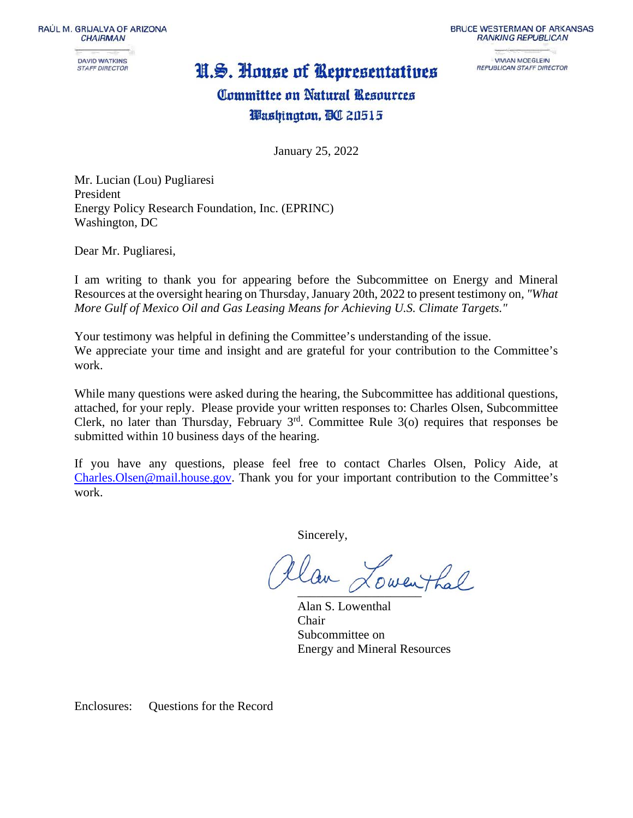RAÚL M. GRIJALVA OF ARIZONA **CHAIRMAN** 

**DAVID WATKINS STAFF DIRECTOR** 

## N.S. House of Representatives

**BRUCE WESTERMAN OF ARKANSAS RANKING REPUBLICAN** 

> **VIVIAN MOEGLEIN** REPUBLICAN STAFF DIRECTOR

# Committee on Natural Resources Washington, BC 20515

January 25, 2022

Mr. Lucian (Lou) Pugliaresi President Energy Policy Research Foundation, Inc. (EPRINC) Washington, DC

Dear Mr. Pugliaresi,

I am writing to thank you for appearing before the Subcommittee on Energy and Mineral Resources at the oversight hearing on Thursday, January 20th, 2022 to present testimony on*, "What More Gulf of Mexico Oil and Gas Leasing Means for Achieving U.S. Climate Targets."*

Your testimony was helpful in defining the Committee's understanding of the issue. We appreciate your time and insight and are grateful for your contribution to the Committee's work.

While many questions were asked during the hearing, the Subcommittee has additional questions, attached, for your reply. Please provide your written responses to: Charles Olsen, Subcommittee Clerk, no later than Thursday, February  $3<sup>rd</sup>$ . Committee Rule 3(o) requires that responses be submitted within 10 business days of the hearing.

If you have any questions, please feel free to contact Charles Olsen, Policy Aide, at [Charles.Olsen@mail.house.gov.](mailto:Charles.Olsen@mail.house.gov) Thank you for your important contribution to the Committee's work.

Sincerely,

tlan Lowenthal

Alan S. Lowenthal Chair Subcommittee on Energy and Mineral Resources

Enclosures: Questions for the Record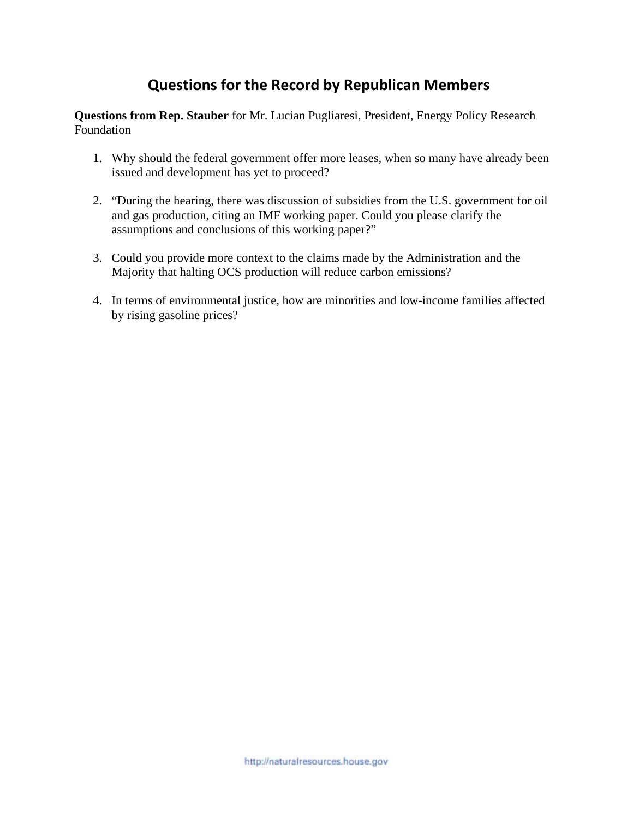## **Questions for the Record by Republican Members**

**Questions from Rep. Stauber** for Mr. Lucian Pugliaresi, President, Energy Policy Research Foundation

- 1. Why should the federal government offer more leases, when so many have already been issued and development has yet to proceed?
- 2. "During the hearing, there was discussion of subsidies from the U.S. government for oil and gas production, citing an IMF working paper. Could you please clarify the assumptions and conclusions of this working paper?"
- 3. Could you provide more context to the claims made by the Administration and the Majority that halting OCS production will reduce carbon emissions?
- 4. In terms of environmental justice, how are minorities and low-income families affected by rising gasoline prices?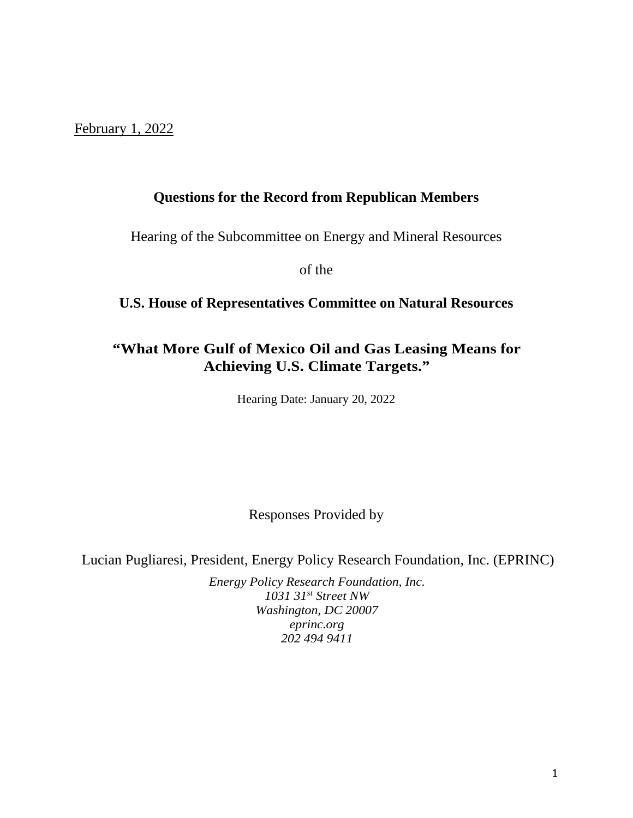February 1, 2022

### **Questions for the Record from Republican Members**

Hearing of the Subcommittee on Energy and Mineral Resources

of the

### **U.S. House of Representatives Committee on Natural Resources**

## **"What More Gulf of Mexico Oil and Gas Leasing Means for Achieving U.S. Climate Targets."**

Hearing Date: January 20, 2022

Responses Provided by

Lucian Pugliaresi, President, Energy Policy Research Foundation, Inc. (EPRINC)

*Energy Policy Research Foundation, Inc. 1031 31st Street NW Washington, DC 20007 eprinc.org 202 494 9411*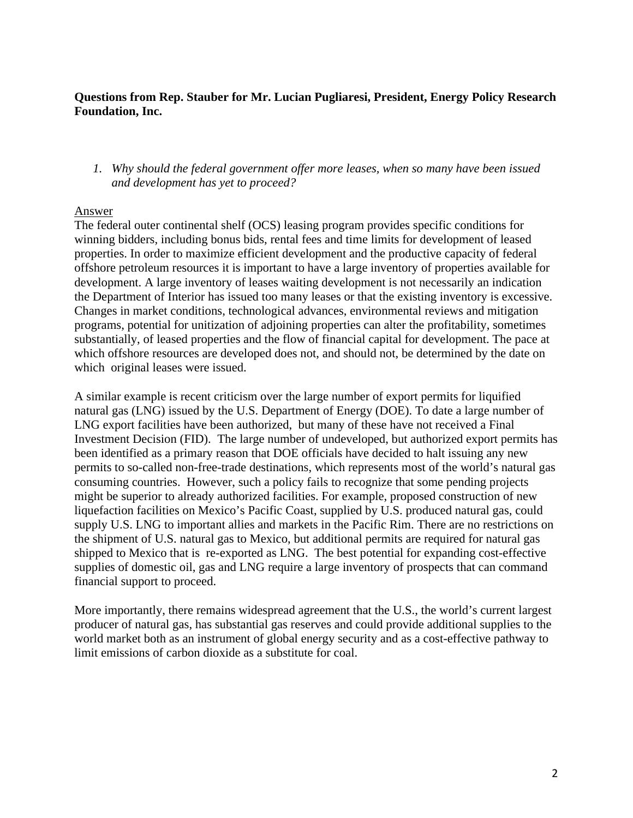#### **Questions from Rep. Stauber for Mr. Lucian Pugliaresi, President, Energy Policy Research Foundation, Inc.**

*1. Why should the federal government offer more leases, when so many have been issued and development has yet to proceed?*

#### Answer

The federal outer continental shelf (OCS) leasing program provides specific conditions for winning bidders, including bonus bids, rental fees and time limits for development of leased properties. In order to maximize efficient development and the productive capacity of federal offshore petroleum resources it is important to have a large inventory of properties available for development. A large inventory of leases waiting development is not necessarily an indication the Department of Interior has issued too many leases or that the existing inventory is excessive. Changes in market conditions, technological advances, environmental reviews and mitigation programs, potential for unitization of adjoining properties can alter the profitability, sometimes substantially, of leased properties and the flow of financial capital for development. The pace at which offshore resources are developed does not, and should not, be determined by the date on which original leases were issued.

A similar example is recent criticism over the large number of export permits for liquified natural gas (LNG) issued by the U.S. Department of Energy (DOE). To date a large number of LNG export facilities have been authorized, but many of these have not received a Final Investment Decision (FID). The large number of undeveloped, but authorized export permits has been identified as a primary reason that DOE officials have decided to halt issuing any new permits to so-called non-free-trade destinations, which represents most of the world's natural gas consuming countries. However, such a policy fails to recognize that some pending projects might be superior to already authorized facilities. For example, proposed construction of new liquefaction facilities on Mexico's Pacific Coast, supplied by U.S. produced natural gas, could supply U.S. LNG to important allies and markets in the Pacific Rim. There are no restrictions on the shipment of U.S. natural gas to Mexico, but additional permits are required for natural gas shipped to Mexico that is re-exported as LNG. The best potential for expanding cost-effective supplies of domestic oil, gas and LNG require a large inventory of prospects that can command financial support to proceed.

More importantly, there remains widespread agreement that the U.S., the world's current largest producer of natural gas, has substantial gas reserves and could provide additional supplies to the world market both as an instrument of global energy security and as a cost-effective pathway to limit emissions of carbon dioxide as a substitute for coal.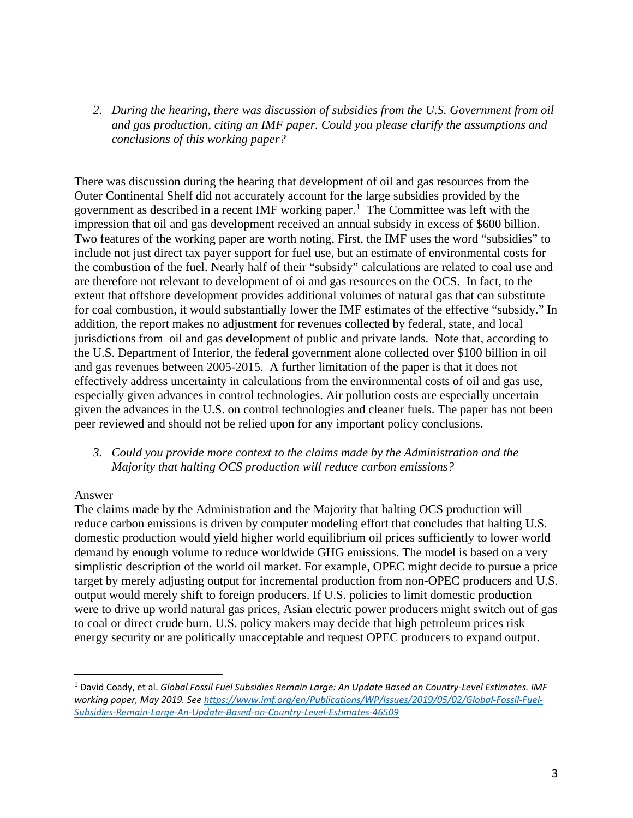*2. During the hearing, there was discussion of subsidies from the U.S. Government from oil and gas production, citing an IMF paper. Could you please clarify the assumptions and conclusions of this working paper?*

There was discussion during the hearing that development of oil and gas resources from the Outer Continental Shelf did not accurately account for the large subsidies provided by the government as described in a recent IMF working paper.[1](#page-4-0) The Committee was left with the impression that oil and gas development received an annual subsidy in excess of \$600 billion. Two features of the working paper are worth noting, First, the IMF uses the word "subsidies" to include not just direct tax payer support for fuel use, but an estimate of environmental costs for the combustion of the fuel. Nearly half of their "subsidy" calculations are related to coal use and are therefore not relevant to development of oi and gas resources on the OCS. In fact, to the extent that offshore development provides additional volumes of natural gas that can substitute for coal combustion, it would substantially lower the IMF estimates of the effective "subsidy." In addition, the report makes no adjustment for revenues collected by federal, state, and local jurisdictions from oil and gas development of public and private lands. Note that, according to the U.S. Department of Interior, the federal government alone collected over \$100 billion in oil and gas revenues between 2005-2015. A further limitation of the paper is that it does not effectively address uncertainty in calculations from the environmental costs of oil and gas use, especially given advances in control technologies. Air pollution costs are especially uncertain given the advances in the U.S. on control technologies and cleaner fuels. The paper has not been peer reviewed and should not be relied upon for any important policy conclusions.

#### *3. Could you provide more context to the claims made by the Administration and the Majority that halting OCS production will reduce carbon emissions?*

#### Answer

The claims made by the Administration and the Majority that halting OCS production will reduce carbon emissions is driven by computer modeling effort that concludes that halting U.S. domestic production would yield higher world equilibrium oil prices sufficiently to lower world demand by enough volume to reduce worldwide GHG emissions. The model is based on a very simplistic description of the world oil market. For example, OPEC might decide to pursue a price target by merely adjusting output for incremental production from non-OPEC producers and U.S. output would merely shift to foreign producers. If U.S. policies to limit domestic production were to drive up world natural gas prices, Asian electric power producers might switch out of gas to coal or direct crude burn. U.S. policy makers may decide that high petroleum prices risk energy security or are politically unacceptable and request OPEC producers to expand output.

<span id="page-4-0"></span><sup>1</sup> David Coady, et al. *Global Fossil Fuel Subsidies Remain Large: An Update Based on Country-Level Estimates. IMF working paper, May 2019. See [https://www.imf.org/en/Publications/WP/Issues/2019/05/02/Global-Fossil-Fuel-](https://www.imf.org/en/Publications/WP/Issues/2019/05/02/Global-Fossil-Fuel-Subsidies-Remain-Large-An-Update-Based-on-Country-Level-Estimates-46509)[Subsidies-Remain-Large-An-Update-Based-on-Country-Level-Estimates-46509](https://www.imf.org/en/Publications/WP/Issues/2019/05/02/Global-Fossil-Fuel-Subsidies-Remain-Large-An-Update-Based-on-Country-Level-Estimates-46509)*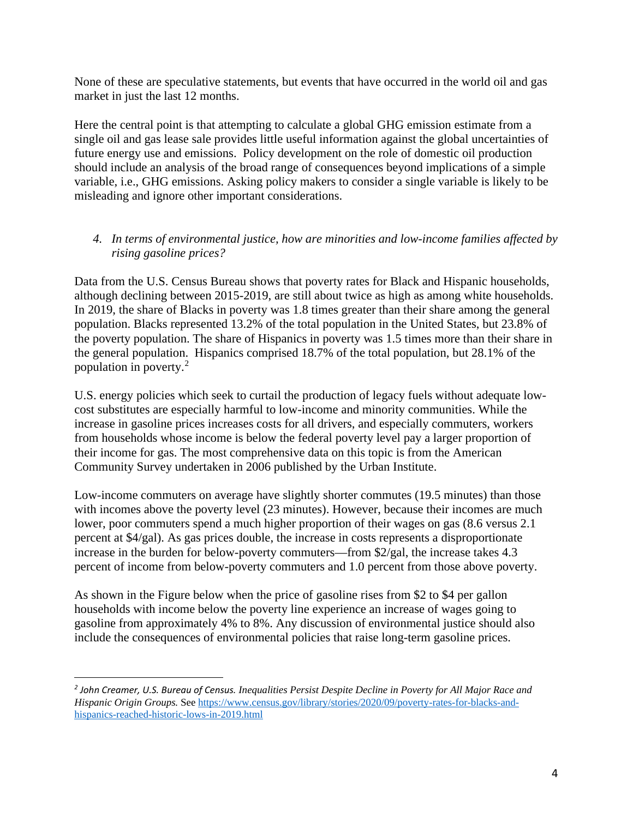None of these are speculative statements, but events that have occurred in the world oil and gas market in just the last 12 months.

Here the central point is that attempting to calculate a global GHG emission estimate from a single oil and gas lease sale provides little useful information against the global uncertainties of future energy use and emissions. Policy development on the role of domestic oil production should include an analysis of the broad range of consequences beyond implications of a simple variable, i.e., GHG emissions. Asking policy makers to consider a single variable is likely to be misleading and ignore other important considerations.

#### *4. In terms of environmental justice, how are minorities and low-income families affected by rising gasoline prices?*

Data from the U.S. Census Bureau shows that poverty rates for Black and Hispanic households, although declining between 2015-2019, are still about twice as high as among white households. In 2019, the share of Blacks in poverty was 1.8 times greater than their share among the general population. Blacks represented 13.2% of the total population in the United States, but 23.8% of the poverty population. The share of Hispanics in poverty was 1.5 times more than their share in the general population. Hispanics comprised 18.7% of the total population, but 28.1% of the population in poverty.[2](#page-5-0)

U.S. energy policies which seek to curtail the production of legacy fuels without adequate lowcost substitutes are especially harmful to low-income and minority communities. While the increase in gasoline prices increases costs for all drivers, and especially commuters, workers from households whose income is below the federal poverty level pay a larger proportion of their income for gas. The most comprehensive data on this topic is from the American Community Survey undertaken in 2006 published by the Urban Institute.

Low-income commuters on average have slightly shorter commutes (19.5 minutes) than those with incomes above the poverty level (23 minutes). However, because their incomes are much lower, poor commuters spend a much higher proportion of their wages on gas (8.6 versus 2.1 percent at \$4/gal). As gas prices double, the increase in costs represents a disproportionate increase in the burden for below-poverty commuters—from \$2/gal, the increase takes 4.3 percent of income from below-poverty commuters and 1.0 percent from those above poverty.

As shown in the Figure below when the price of gasoline rises from \$2 to \$4 per gallon households with income below the poverty line experience an increase of wages going to gasoline from approximately 4% to 8%. Any discussion of environmental justice should also include the consequences of environmental policies that raise long-term gasoline prices.

<span id="page-5-0"></span>*<sup>2</sup> John Creamer, U.S. Bureau of Census. Inequalities Persist Despite Decline in Poverty for All Major Race and Hispanic Origin Groups.* Se[e https://www.census.gov/library/stories/2020/09/poverty-rates-for-blacks-and](https://www.census.gov/library/stories/2020/09/poverty-rates-for-blacks-and-hispanics-reached-historic-lows-in-2019.html)[hispanics-reached-historic-lows-in-2019.html](https://www.census.gov/library/stories/2020/09/poverty-rates-for-blacks-and-hispanics-reached-historic-lows-in-2019.html)